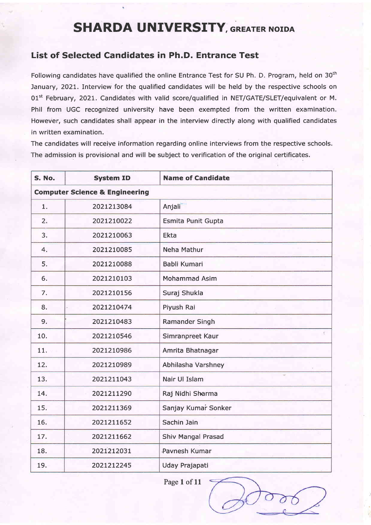## SHARDA UNIVERSITY, GREATER NOIDA

## List of Selected Candidates in Ph.D. Entrance Test

Following candidates have qualified the online Entrance Test for SU Ph. D. Program, held on 30<sup>th</sup> January, 2021. Interview for the qualified candidates will be held by the respective schools on 01<sup>st</sup> February, 2021. Candidates with valid score/qualified in NET/GATE/SLET/equivalent or M. Phil from UGC recognized university have been exempted from the written examination. However, such candidates shall appear in the interview directly along with qualified candidates in written examination.

The candidates will receive information regarding online interviews from the respective schools. The admission is provisional and will be subject to verification of the original certificates.

| S. No.         | <b>System ID</b>                          | <b>Name of Candidate</b> |  |
|----------------|-------------------------------------------|--------------------------|--|
|                | <b>Computer Science &amp; Engineering</b> |                          |  |
| 1.             | 2021213084                                | Anjali                   |  |
| 2.             | 2021210022                                | Esmita Punit Gupta       |  |
| 3.             | 2021210063                                | Ekta                     |  |
| 4 <sub>1</sub> | 2021210085                                | <b>Neha Mathur</b>       |  |
| 5.             | 2021210088                                | Babli Kumari             |  |
| 6.             | 2021210103                                | <b>Mohammad Asim</b>     |  |
| 7.             | 2021210156                                | Suraj Shukla             |  |
| 8.             | 2021210474                                | Piyush Rai               |  |
| 9.             | 2021210483                                | <b>Ramander Singh</b>    |  |
| 10.            | 2021210546                                | ¥.<br>Simranpreet Kaur   |  |
| 11.            | 2021210986                                | Amrita Bhatnagar         |  |
| 12.            | 2021210989                                | Abhilasha Varshney       |  |
| 13.            | 2021211043                                | Nair Ul Islam            |  |
| 14.            | 2021211290                                | Raj Nidhi Sharma         |  |
| 15.            | 2021211369                                | Sanjay Kumar Sonker      |  |
| 16.            | 2021211652                                | Sachin Jain              |  |
| 17.            | 2021211662                                | Shiv Mangal Prasad       |  |
| 18.            | 2021212031                                | Pavnesh Kumar            |  |
| 19.            | 2021212245                                | Uday Prajapati           |  |

Page 1 of 11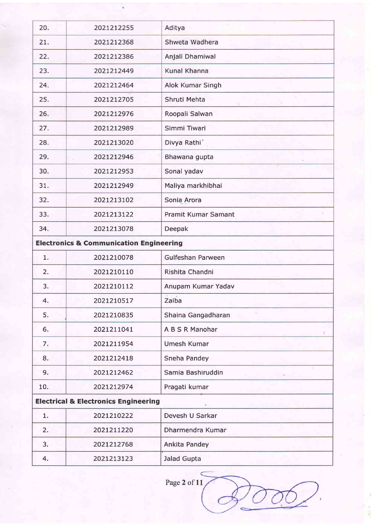| 20. | 2021212255                                         | Aditya                     |
|-----|----------------------------------------------------|----------------------------|
| 21. | 2021212368                                         | Shweta Wadhera             |
| 22. | 2021212386                                         | Anjali Dhamiwal            |
| 23. | 2021212449                                         | Kunal Khanna               |
| 24. | 2021212464                                         | Alok Kumar Singh           |
| 25. | 2021212705                                         | Shruti Mehta               |
| 26. | 2021212976                                         | Roopali Salwan             |
| 27. | 2021212989                                         | Simmi Tiwari               |
| 28. | 2021213020                                         | Divya Rathi                |
| 29. | 2021212946                                         | Bhawana gupta              |
| 30. | 2021212953                                         | Sonal yadav                |
| 31. | 2021212949                                         | Maliya markhibhai          |
| 32. | 2021213102                                         | Sonia Arora                |
| 33. | 2021213122                                         | <b>Pramit Kumar Samant</b> |
| 34. | 2021213078                                         | Deepak                     |
|     | <b>Electronics &amp; Communication Engineering</b> |                            |
| 1.  | 2021210078                                         | Gulfeshan Parween          |
| 2.  | 2021210110                                         | Rishita Chandni            |
| 3.  | 2021210112                                         | Anupam Kumar Yadav         |
| 4.  | 2021210517                                         | 3 19 1<br>Zaiba            |
| 5.  | 2021210835                                         | Shaina Gangadharan         |
| 6.  | 2021211041                                         | A B S R Manohar            |
| 7.  | 2021211954                                         | <b>Umesh Kumar</b>         |
| 8.  | 2021212418                                         | Sneha Pandey               |
| 9.  | 2021212462                                         | Samia Bashiruddin          |
| 10. | 2021212974                                         | Pragati kumar              |
|     | <b>Electrical &amp; Electronics Engineering</b>    |                            |
| 1.  | 2021210222                                         | Devesh U Sarkar            |
| 2.  | 2021211220                                         | Dharmendra Kumar           |
| 3.  | 2021212768                                         | Ankita Pandey              |
| 4.  | 2021213123                                         | Jalad Gupta                |

Page 2 of 11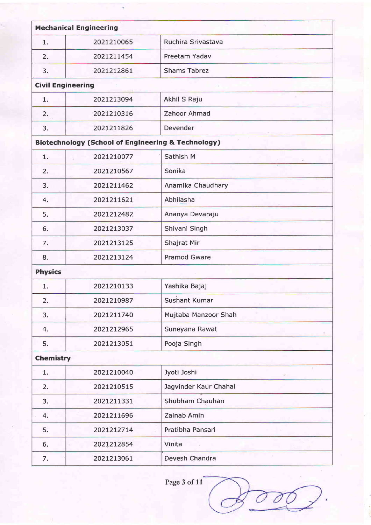| <b>Mechanical Engineering</b> |                                                               |                       |
|-------------------------------|---------------------------------------------------------------|-----------------------|
| 1.                            | 2021210065                                                    | Ruchira Srivastava    |
| 2.                            | 2021211454                                                    | Preetam Yadav         |
| 3.                            | 2021212861                                                    | <b>Shams Tabrez</b>   |
| <b>Civil Engineering</b>      |                                                               |                       |
| 1.                            | 2021213094                                                    | Akhil S Raju          |
| 2.                            | 2021210316                                                    | Zahoor Ahmad          |
| 3.                            | 2021211826                                                    | Devender              |
|                               | <b>Biotechnology (School of Engineering &amp; Technology)</b> |                       |
| 1.                            | 2021210077                                                    | Sathish M             |
| 2.                            | 2021210567                                                    | Sonika                |
| 3.                            | 2021211462                                                    | Anamika Chaudhary     |
| 4.                            | 2021211621                                                    | Abhilasha             |
| 5.                            | 2021212482                                                    | Ananya Devaraju       |
| 6.                            | 2021213037                                                    | Shivani Singh         |
| 7.                            | 2021213125                                                    | Shajrat Mir           |
| 8.                            | 2021213124                                                    | <b>Pramod Gware</b>   |
| <b>Physics</b>                |                                                               |                       |
| 1.                            | 2021210133                                                    | Yashika Bajaj         |
| 2.                            | 2021210987                                                    | <b>Sushant Kumar</b>  |
| 3.                            | 2021211740                                                    | Mujtaba Manzoor Shah  |
| 4.                            | 2021212965                                                    | Suneyana Rawat        |
| 5.                            | 2021213051                                                    | Pooja Singh           |
| <b>Chemistry</b>              |                                                               |                       |
| 1.                            | 2021210040                                                    | Jyoti Joshi           |
| 2.                            | 2021210515                                                    | Jagvinder Kaur Chahal |
| 3.                            | 2021211331                                                    | Shubham Chauhan       |
| 4.                            | 2021211696                                                    | Zainab Amin           |
| 5.                            | 2021212714                                                    | Pratibha Pansari      |
| 6.                            | 2021212854                                                    | Vinita                |
| 7.                            | 2021213061                                                    | Devesh Chandra        |

Page 3 of 11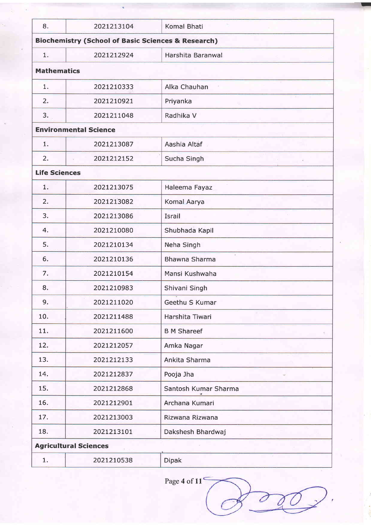| 8.                   | 2021213104                                                    | <b>Komal Bhati</b>   |
|----------------------|---------------------------------------------------------------|----------------------|
|                      | <b>Biochemistry (School of Basic Sciences &amp; Research)</b> |                      |
| 1.                   | 2021212924                                                    | Harshita Baranwal    |
| <b>Mathematics</b>   |                                                               |                      |
| 1.                   | 2021210333                                                    | Alka Chauhan         |
| 2.                   | 2021210921                                                    | Priyanka             |
| 3.                   | 2021211048                                                    | Radhika V            |
|                      | <b>Environmental Science</b>                                  |                      |
| 1.                   | 2021213087                                                    | Aashia Altaf         |
| 2.                   | 2021212152                                                    | Sucha Singh          |
| <b>Life Sciences</b> |                                                               |                      |
| 1.                   | 2021213075                                                    | Haleema Fayaz        |
| 2.                   | 2021213082                                                    | Komal Aarya          |
| 3.                   | 2021213086                                                    | Israil               |
| 4.                   | 2021210080                                                    | Shubhada Kapil       |
| 5.                   | 2021210134                                                    | Neha Singh           |
| 6.                   | 2021210136                                                    | 7<br>Bhawna Sharma   |
| 7.                   | 2021210154                                                    | Mansi Kushwaha       |
| 8.                   | 2021210983                                                    | Shivani Singh        |
| 9.                   | 2021211020                                                    | Geethu S Kumar       |
| 10.                  | 2021211488                                                    | Harshita Tiwari      |
| 11.                  | 2021211600                                                    | <b>B M Shareef</b>   |
| 12.                  | 2021212057                                                    | Amka Nagar           |
| 13.                  | 2021212133                                                    | Ankita Sharma        |
| 14.                  | 2021212837                                                    | Pooja Jha            |
| 15.                  | 2021212868                                                    | Santosh Kumar Sharma |
| 16.                  | 2021212901                                                    | Archana Kumari       |
| 17.                  | 2021213003                                                    | Rizwana Rizwana      |
| 18.                  | 2021213101                                                    | Dakshesh Bhardwaj    |
|                      | <b>Agricultural Sciences</b>                                  |                      |
| 1.                   | 2021210538                                                    | <b>Dipak</b>         |
|                      |                                                               |                      |

I

Page 4 of  $11<sup>6</sup>$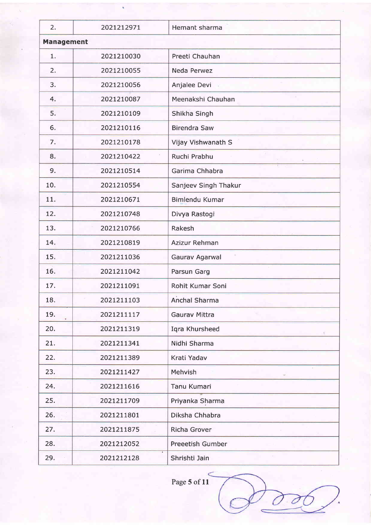| 2.                | 2021212971 | Hemant sharma         |
|-------------------|------------|-----------------------|
| <b>Management</b> |            |                       |
| 1.                | 2021210030 | Preeti Chauhan        |
| 2.                | 2021210055 | Neda Perwez           |
| 3.                | 2021210056 | Anjalee Devi          |
| 4.                | 2021210087 | Meenakshi Chauhan     |
| 5.                | 2021210109 | Shikha Singh          |
| 6.                | 2021210116 | <b>Birendra Saw</b>   |
| 7.                | 2021210178 | Vijay Vishwanath S    |
| 8.                | 2021210422 | Ruchi Prabhu          |
| 9.                | 2021210514 | Garima Chhabra        |
| 10.               | 2021210554 | Sanjeev Singh Thakur  |
| 11.               | 2021210671 | <b>Bimlendu Kumar</b> |
| 12.               | 2021210748 | Divya Rastogi         |
| 13.               | 2021210766 | Rakesh                |
| 14.               | 2021210819 | Azizur Rehman         |
| 15.               | 2021211036 | Gaurav Agarwal        |
| 16.               | 2021211042 | Parsun Garg           |
| 17.               | 2021211091 | Rohit Kumar Soni      |
| 18.               | 2021211103 | Anchal Sharma         |
| 19.               | 2021211117 | <b>Gaurav Mittra</b>  |
| 20.               | 2021211319 | Iqra Khursheed        |
| 21.               | 2021211341 | Nidhi Sharma          |
| 22.               | 2021211389 | Krati Yadav           |
| 23.               | 2021211427 | Mehvish               |
| 24.               | 2021211616 | <b>Tanu Kumari</b>    |
| 25.               | 2021211709 | Priyanka Sharma       |
| 26.               | 2021211801 | Diksha Chhabra        |
| 27.               | 2021211875 | <b>Richa Grover</b>   |
| 28.               | 2021212052 | Preeetish Gumber      |
| 29.               | 2021212128 | Shrishti Jain         |

Page 5 of  $11$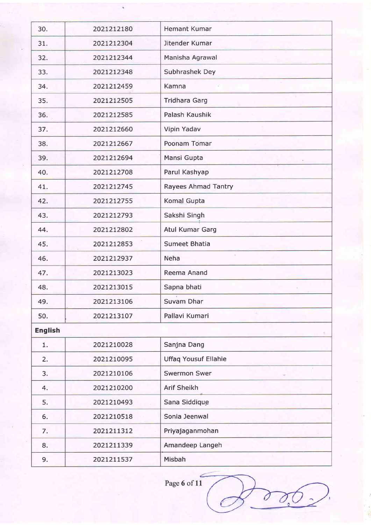| 30.            | 2021212180 | Hemant Kumar                |
|----------------|------------|-----------------------------|
| 31.            | 2021212304 | Jitender Kumar              |
| 32.            | 2021212344 | Manisha Agrawal             |
| 33.            | 2021212348 | Subhrashek Dey              |
| 34.            | 2021212459 | Kamna                       |
| 35.            | 2021212505 | <b>Tridhara Garg</b>        |
| 36.            | 2021212585 | Palash Kaushik              |
| 37.            | 2021212660 | Vipin Yadav                 |
| 38.            | 2021212667 | $\tau$<br>Poonam Tomar      |
| 39.            | 2021212694 | Mansi Gupta                 |
| 40.            | 2021212708 | Parul Kashyap               |
| 41.            | 2021212745 | Rayees Ahmad Tantry         |
| 42.            | 2021212755 | Komal Gupta                 |
| 43.            | 2021212793 | Sakshi Singh                |
| 44.            | 2021212802 | <b>Atul Kumar Garg</b>      |
| 45.            | 2021212853 | <b>Sumeet Bhatia</b>        |
| 46.            | 2021212937 | Neha                        |
| 47.            | 2021213023 | Reema Anand                 |
| 48.            | 2021213015 | Sapna bhati                 |
| 49.            | 2021213106 | s.<br>Suvam Dhar            |
| 50.            | 2021213107 | Pallavi Kumari              |
| <b>English</b> |            |                             |
| 1.             | 2021210028 | Sanjna Dang                 |
| 2.             | 2021210095 | <b>Uffaq Yousuf Ellahie</b> |
| 3.             | 2021210106 | <b>Swermon Swer</b>         |
| 4.             | 2021210200 | Arif Sheikh                 |
| 5.             | 2021210493 | Sana Siddique               |
| 6.             | 2021210518 | Sonia Jeenwal               |
| 7.             | 2021211312 | Priyajaganmohan             |
| 8.             | 2021211339 | Amandeep Langeh             |
| 9.             | 2021211537 | Misbah                      |
|                |            |                             |

Page 6 of 11

C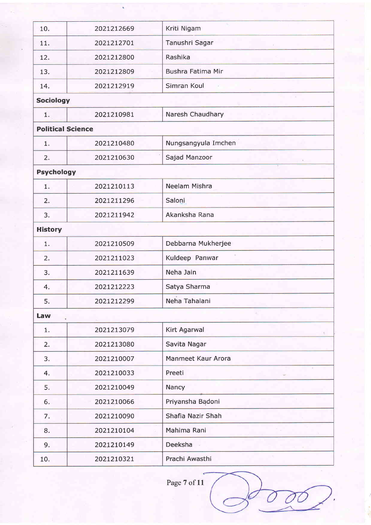| 10.                      | 2021212669 | Kriti Nigam              |
|--------------------------|------------|--------------------------|
| 11.                      | 2021212701 | Tanushri Sagar           |
| 12.                      | 2021212800 | Rashika                  |
| 13.                      | 2021212809 | <b>Bushra Fatima Mir</b> |
| 14.                      | 2021212919 | Simran Koul              |
| <b>Sociology</b>         |            |                          |
| 1.                       | 2021210981 | Naresh Chaudhary         |
| <b>Political Science</b> |            |                          |
| 1.                       | 2021210480 | Nungsangyula Imchen      |
| 2.                       | 2021210630 | Sajad Manzoor            |
| <b>Psychology</b>        |            |                          |
| ï.                       | 2021210113 | Neelam Mishra            |
| 2.                       | 2021211296 | Saloni                   |
| 3.                       | 2021211942 | Akanksha Rana            |
| <b>History</b>           |            |                          |
| 1.                       | 2021210509 | Debbarna Mukherjee       |
| 2.                       | 2021211023 | Kuldeep Panwar           |
| 3.                       | 2021211639 | Neha Jain                |
| 4.                       | 2021212223 | Satya Sharma             |
| 5.                       | 2021212299 | ×,<br>Neha Tahalani      |
| Law                      |            |                          |
| 1.                       | 2021213079 | <b>Kirt Agarwal</b>      |
| 2.                       | 2021213080 | Savita Nagar             |
| 3.                       | 2021210007 | Manmeet Kaur Arora       |
| 4.                       | 2021210033 | Preeti                   |
| 5.                       | 2021210049 | Nancy                    |
| 6.                       | 2021210066 | Priyansha Badoni         |
| 7.                       | 2021210090 | Shafia Nazir Shah        |
| 8.                       | 2021210104 | Mahima Rani              |
| 9.                       | 2021210149 | Deeksha                  |
| 10.                      | 2021210321 | Prachi Awasthi           |
|                          |            |                          |

Page 7 of 11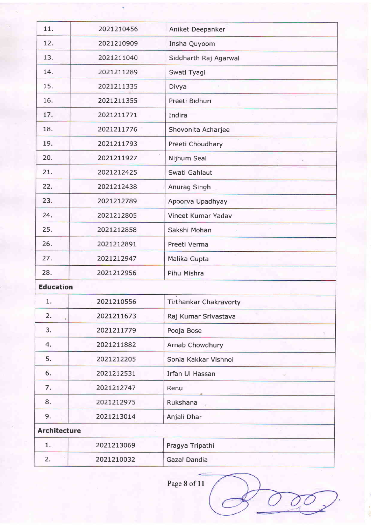| 11.                 | 2021210456 | Aniket Deepanker              |
|---------------------|------------|-------------------------------|
| 12.                 | 2021210909 | Insha Quyoom                  |
| 13.                 | 2021211040 | Siddharth Raj Agarwal         |
| 14.                 | 2021211289 | Swati Tyagi                   |
| 15.                 | 2021211335 | Divya                         |
| 16.                 | 2021211355 | Preeti Bidhuri                |
| 17.                 | 2021211771 | Indira                        |
| 18.                 | 2021211776 | Shovonita Acharjee            |
| 19.                 | 2021211793 | Preeti Choudhary              |
| 20.                 | 2021211927 | Nijhum Seal                   |
| 21.                 | 2021212425 | Swati Gahlaut                 |
| 22.                 | 2021212438 | Anurag Singh                  |
| 23.                 | 2021212789 | Apoorva Upadhyay              |
| 24.                 | 2021212805 | Vineet Kumar Yadav            |
| 25.                 | 2021212858 | Sakshi Mohan                  |
| 26.                 | 2021212891 | Preeti Verma                  |
| 27.                 | 2021212947 | Malika Gupta                  |
| 28.                 | 2021212956 | Pihu Mishra                   |
| <b>Education</b>    |            |                               |
| 1.                  | 2021210556 | <b>Tirthankar Chakravorty</b> |
| 2.                  | 2021211673 | Raj Kumar Srivastava          |
| 3.                  | 2021211779 | Pooja Bose                    |
| 4.                  | 2021211882 | <b>Arnab Chowdhury</b>        |
| 5.                  | 2021212205 | Sonia Kakkar Vishnoi          |
| 6.                  | 2021212531 | Irfan Ul Hassan               |
| 7.                  | 2021212747 | Renu                          |
| 8.                  | 2021212975 | Rukshana                      |
| 9.                  | 2021213014 | Anjali Dhar                   |
| <b>Architecture</b> |            |                               |
| 1.                  | 2021213069 | Pragya Tripathi               |
| 2.                  | 2021210032 | Gazal Dandia                  |
|                     |            |                               |

Page 8 of 11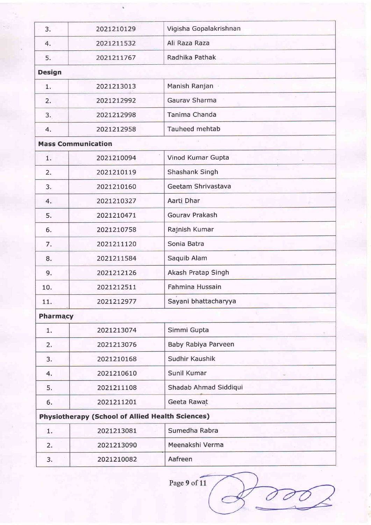| 3.            | 2021210129                                              | Vigisha Gopalakrishnan |
|---------------|---------------------------------------------------------|------------------------|
| 4.            | 2021211532                                              | Ali Raza Raza          |
| 5.            | 2021211767                                              | Radhika Pathak         |
| <b>Design</b> |                                                         |                        |
| 1.            | 2021213013                                              | Manish Ranjan          |
| 2.            | 2021212992                                              | Gaurav Sharma          |
| 3.            | 2021212998                                              | Tanima Chanda          |
| 4.            | 2021212958                                              | Tauheed mehtab         |
|               | <b>Mass Communication</b>                               |                        |
| 1.            | 2021210094                                              | Vinod Kumar Gupta      |
| 2.            | 2021210119                                              | Shashank Singh         |
| 3.            | 2021210160                                              | Geetam Shrivastava     |
| 4.            | 2021210327                                              | Aarti Dhar             |
| 5.            | 2021210471                                              | Gourav Prakash         |
| 6.            | 2021210758                                              | Rajnish Kumar          |
| 7.            | 2021211120                                              | Sonia Batra            |
| 8.            | 2021211584                                              | Saquib Alam            |
| 9.            | 2021212126                                              | Akash Pratap Singh     |
| 10.           | 2021212511                                              | Fahmina Hussain        |
| 11.           | 2021212977                                              | Sayani bhattacharyya   |
| Pharmacy      |                                                         |                        |
| 1.            | 2021213074                                              | Simmi Gupta            |
| 2.            | 2021213076                                              | Baby Rabiya Parveen    |
| 3.            | 2021210168                                              | Sudhir Kaushik         |
| 4.            | 2021210610                                              | Sunil Kumar            |
| 5.            | 2021211108                                              | Shadab Ahmad Siddiqui  |
| 6.            | 2021211201                                              | Geeta Rawat            |
|               | <b>Physiotherapy (School of Allied Health Sciences)</b> |                        |
| 1.            | 2021213081                                              | Sumedha Rabra          |
| 2.            | 2021213090                                              | Meenakshi Verma        |
| 3.            | 2021210082                                              | Aafreen                |
|               |                                                         |                        |

Page 9 of 11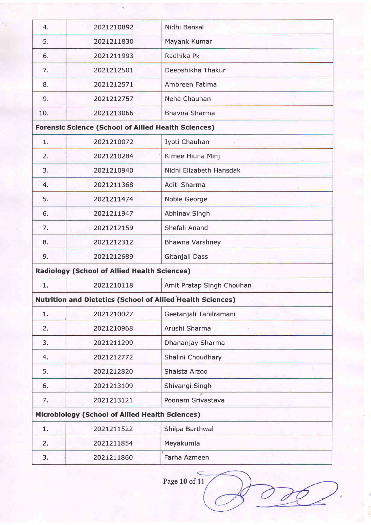| 4.                                                         | 2021210892                                                        | Nidhi Bansal              |  |
|------------------------------------------------------------|-------------------------------------------------------------------|---------------------------|--|
| -5.                                                        | 2021211830                                                        | Mayank Kumar              |  |
| 6.                                                         | 2021211993                                                        | Radhika Pk                |  |
| 7.                                                         | 2021212501                                                        | Deepshikha Thakur         |  |
| 8.                                                         | 2021212571                                                        | Ambreen Fatima            |  |
| 9.                                                         | 2021212757                                                        | Neha Chauhan              |  |
| 10.                                                        | 2021213066                                                        | Bhavna Sharma             |  |
| <b>Forensic Science (School of Allied Health Sciences)</b> |                                                                   |                           |  |
| 1.                                                         | 2021210072                                                        | Jyoti Chauhan             |  |
| 2.                                                         | 2021210284                                                        | Kimee Hiuna Minj          |  |
| 3.                                                         | 2021210940                                                        | Nidhi Elizabeth Hansdak   |  |
| 4.                                                         | 2021211368                                                        | Aditi Sharma              |  |
| 5.                                                         | 2021211474                                                        | Noble George              |  |
| 6.                                                         | 2021211947                                                        | Abhinav Singh             |  |
| 7.                                                         | 2021212159                                                        | Shefali Anand             |  |
| 8.                                                         | 2021212312                                                        | Bhawna Varshney           |  |
| 9.                                                         | 2021212689                                                        | Gitanjali Dass            |  |
|                                                            | <b>Radiology (School of Allied Health Sciences)</b>               |                           |  |
| 1.                                                         | 2021210118                                                        | Amit Pratap Singh Chouhan |  |
|                                                            | <b>Nutrition and Dietetics (School of Allied Health Sciences)</b> |                           |  |
| 1.                                                         | 2021210027                                                        | Geetanjali Tahilramani    |  |
| 2.                                                         | 2021210968                                                        | Arushi Sharma             |  |
| 3.                                                         | 2021211299                                                        | Dhananjay Sharma          |  |
| 4.                                                         | 2021212772                                                        | Shalini Choudhary         |  |
| 5.                                                         | 2021212820                                                        | Shaista Arzoo             |  |
| 6.                                                         | 2021213109                                                        | Shivangi Singh            |  |
| 7.                                                         | 2021213121                                                        | Poonam Srivastava         |  |
|                                                            | <b>Microbiology (School of Allied Health Sciences)</b>            |                           |  |
| 1.                                                         | 2021211522                                                        | Shilpa Barthwal           |  |
| 2.                                                         | 2021211854                                                        | Meyakumla                 |  |
| 3.                                                         | 2021211860                                                        | Farha Azmeen              |  |
|                                                            |                                                                   |                           |  |

Page 10 of 11